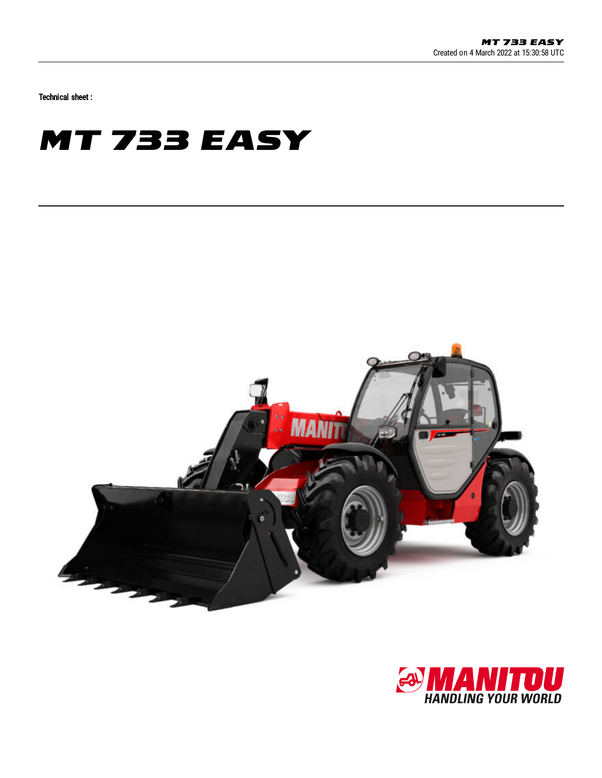Technical sheet :

## **MT 733 EASY**



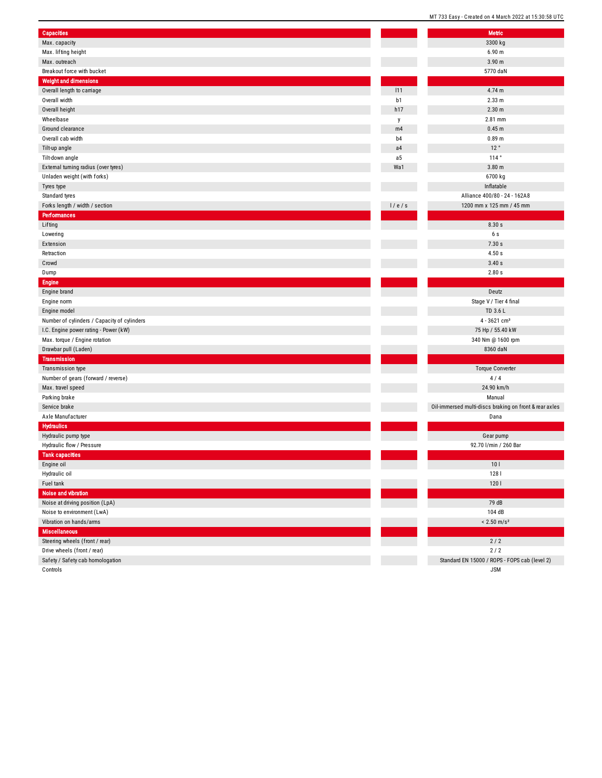|                                             |                | MI733 Easy - Created on 4 March 2022 at 15.30.58    |
|---------------------------------------------|----------------|-----------------------------------------------------|
| <b>Capacities</b>                           |                | Metric                                              |
| Max. capacity                               |                | 3300 kg                                             |
| Max. lifting height                         |                | 6.90 m                                              |
| Max. outreach                               |                | 3.90 <sub>m</sub>                                   |
| Breakout force with bucket                  |                | 5770 daN                                            |
| <b>Weight and dimensions</b>                |                |                                                     |
| Overall length to carriage                  | 111            | 4.74 m                                              |
| Overall width                               |                | 2.33 m                                              |
|                                             | b1<br>h17      | 2.30 <sub>m</sub>                                   |
| Overall height<br>Wheelbase                 |                |                                                     |
|                                             | y              | 2.81 mm                                             |
| Ground clearance                            | m4             | 0.45 <sub>m</sub>                                   |
| Overall cab width                           | b <sub>4</sub> | 0.89 m                                              |
| Tilt-up angle                               | a4             | 12°                                                 |
| Tilt-down angle                             | a <sub>5</sub> | 114°                                                |
| External turning radius (over tyres)        | Wa1            | 3.80 <sub>m</sub>                                   |
| Unladen weight (with forks)                 |                | 6700 kg                                             |
| Tyres type                                  |                | Inflatable                                          |
| Standard tyres                              |                | Alliance 400/80 - 24 - 162A8                        |
| Forks length / width / section              | 1/e/s          | 1200 mm x 125 mm / 45 mm                            |
| <b>Performances</b>                         |                |                                                     |
| Lifting                                     |                | 8.30 s                                              |
| Lowering                                    |                | 6s                                                  |
| Extension                                   |                | 7.30 s                                              |
| Retraction                                  |                | 4.50 s                                              |
| Crowd                                       |                | 3.40s                                               |
| Dump                                        |                | 2.80s                                               |
| <b>Engine</b>                               |                |                                                     |
| Engine brand                                |                | Deutz                                               |
| Engine norm                                 |                | Stage V / Tier 4 final                              |
| Engine model                                |                | TD 3.6 L                                            |
| Number of cylinders / Capacity of cylinders |                | $4 - 3621$ cm <sup>3</sup>                          |
| I.C. Engine power rating - Power (kW)       |                | 75 Hp / 55.40 kW                                    |
| Max. torque / Engine rotation               |                | 340 Nm @ 1600 rpm                                   |
| Drawbar pull (Laden)                        |                | 8360 daN                                            |
| <b>Transmission</b>                         |                |                                                     |
| Transmission type                           |                | Torque Converter                                    |
| Number of gears (forward / reverse)         |                | 4/4                                                 |
| Max. travel speed                           |                | 24.90 km/h                                          |
| Parking brake                               |                | Manual                                              |
| Service brake                               |                | Oil-immersed multi-discs braking on front & rear ax |
| Axle Manufacturer                           |                | Dana                                                |
| <b>Hydraulics</b>                           |                |                                                     |
| Hydraulic pump type                         |                | Gear pump                                           |
| Hydraulic flow / Pressure                   |                | 92.70 l/min / 260 Bar                               |
| <b>Tank capacities</b>                      |                |                                                     |
| Engine oil                                  |                | 10 <sub>l</sub>                                     |
| Hydraulic oil                               |                | 1281                                                |
| Fuel tank                                   |                | 1201                                                |
| Noise and vibration                         |                |                                                     |
| Noise at driving position (LpA)             |                | 79 dB                                               |
| Noise to environment (LwA)                  |                | 104 dB                                              |
| Vibration on hands/arms                     |                | $< 2.50$ m/s <sup>2</sup>                           |
| <b>Miscellaneous</b>                        |                |                                                     |
|                                             |                | $2/2$                                               |
| Steering wheels (front / rear)              |                |                                                     |
| Drive wheels (front / rear)                 |                | 2/2                                                 |
| Safety / Safety cab homologation            |                | Standard EN 15000 / ROPS - FOPS cab (level 2)       |
| Controls                                    |                | <b>JSM</b>                                          |

g on front & rear axles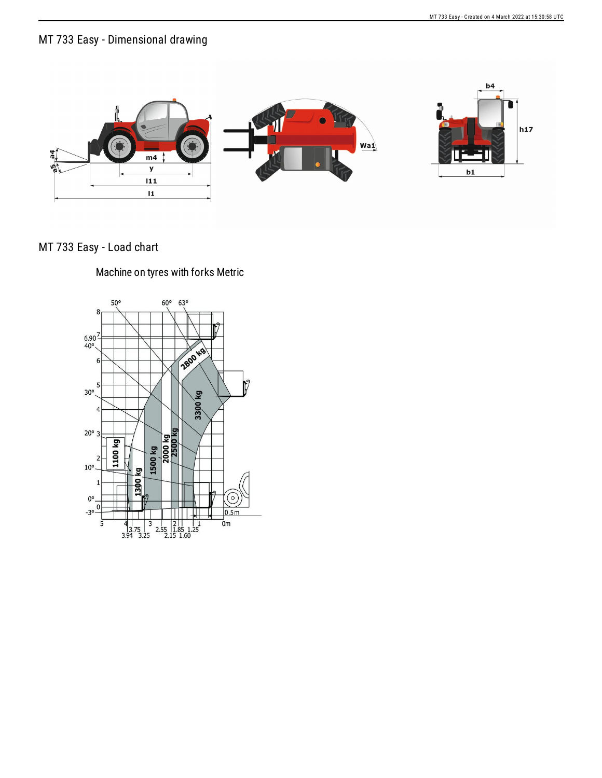## MT 733 Easy - Dimensional drawing



## MT 733 Easy - Load chart

## Machine on tyres with forks Metric